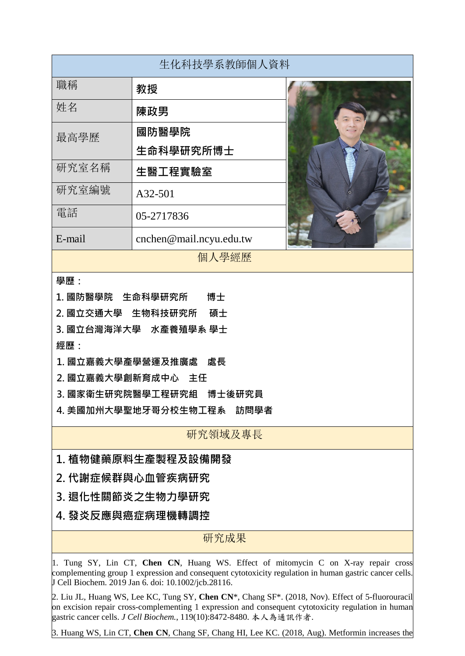| 生化科技學系教師個人資料                                                                                                                                                                                                                                        |                         |
|-----------------------------------------------------------------------------------------------------------------------------------------------------------------------------------------------------------------------------------------------------|-------------------------|
| 職稱                                                                                                                                                                                                                                                  | 教授                      |
| 姓名                                                                                                                                                                                                                                                  | 陳政男                     |
| 最高學歷                                                                                                                                                                                                                                                | 國防醫學院                   |
|                                                                                                                                                                                                                                                     | 生命科學研究所博士               |
| 研究室名稱                                                                                                                                                                                                                                               | 生醫工程實驗室                 |
| 研究室編號                                                                                                                                                                                                                                               | A32-501                 |
| 電話                                                                                                                                                                                                                                                  | 05-2717836              |
| E-mail                                                                                                                                                                                                                                              | cnchen@mail.ncyu.edu.tw |
| 個人學經歷                                                                                                                                                                                                                                               |                         |
| 學歷:<br>1. 國防醫學院 生命科學研究所<br>博士<br>2. 國立交通大學 生物科技研究所<br>碩士<br>3. 國立台灣海洋大學 水產養殖學系 學士<br>經歷:<br>1. 國立嘉義大學產學營運及推廣處<br>處長<br>2. 國立嘉義大學創新育成中心 主任<br>3. 國家衛生研究院醫學工程研究組 博士後研究員<br>4. 美國加州大學聖地牙哥分校生物工程系<br>訪問學者                                               |                         |
| 研究領域及專長                                                                                                                                                                                                                                             |                         |
| 1. 植物健藥原料生產製程及設備開發                                                                                                                                                                                                                                  |                         |
| 2.代謝症候群與心血管疾病研究                                                                                                                                                                                                                                     |                         |
| 3. 退化性關節炎之生物力學研究                                                                                                                                                                                                                                    |                         |
| 4. 發炎反應與癌症病理機轉調控                                                                                                                                                                                                                                    |                         |
| 研究成果                                                                                                                                                                                                                                                |                         |
| 1. Tung SY, Lin CT, Chen CN, Huang WS. Effect of mitomycin C on X-ray repair cross<br>complementing group 1 expression and consequent cytotoxicity regulation in human gastric cancer cells.<br>J Cell Biochem. 2019 Jan 6. doi: 10.1002/jcb.28116. |                         |

2. Liu JL, Huang WS, Lee KC, Tung SY, **Chen CN**\*, Chang SF\*. (2018, Nov). Effect of 5-fluorouracil on excision repair cross-complementing 1 expression and consequent cytotoxicity regulation in human gastric cancer cells. *J Cell Biochem.*, 119(10):8472-8480. 本人為通訊作者.

3. Huang WS, Lin CT, **Chen CN**, Chang SF, Chang HI, Lee KC. (2018, Aug). Metformin increases the